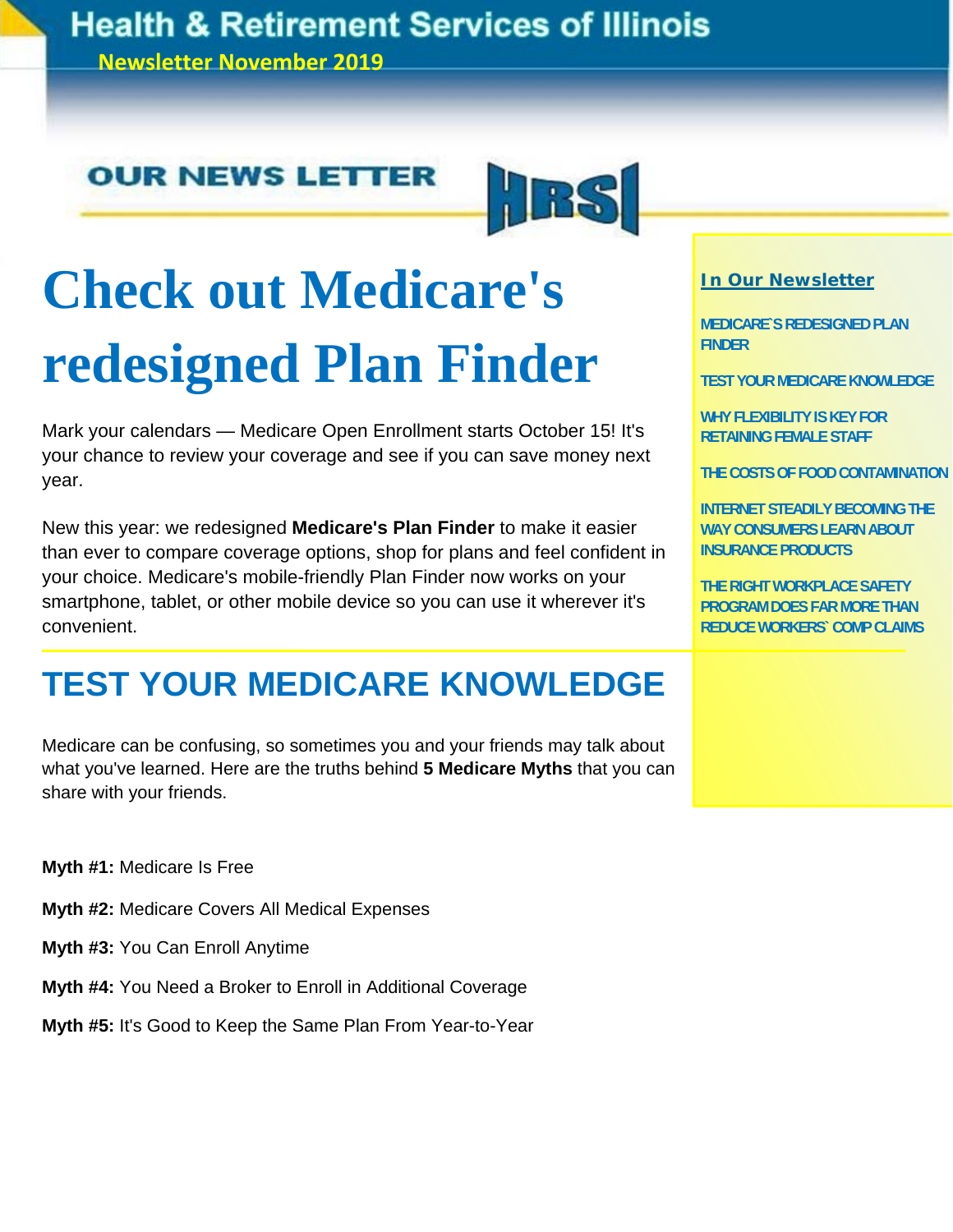# **Health & Retirement Services of Illinois**

**Newsletter November 2019**

# **OUR NEWS LETTER**



# **Check out Medicare's redesigned Plan Finder**

Mark your calendars — Medicare Open Enrollment starts October 15! It's your chance to review your coverage and see if you can save money next year.

New this year: we redesigned **Medicare's Plan Finder** to make it easier than ever to compare coverage options, shop for plans and feel confident in your choice. Medicare's mobile-friendly Plan Finder now works on your smartphone, tablet, or other mobile device so you can use it wherever it's convenient.

# **TEST YOUR MEDICARE KNOWLEDGE**

Medicare can be confusing, so sometimes you and your friends may talk about what you've learned. Here are the truths behind **5 Medicare Myths** that you can share with your friends.

**Myth #1:** Medicare Is Free

- **Myth #2:** Medicare Covers All Medical Expenses
- **Myth #3:** You Can Enroll Anytime
- **Myth #4:** You Need a Broker to Enroll in Additional Coverage

**Myth #5:** It's Good to Keep the Same Plan From Year-to-Year

### **In Our Newsletter**

**MEDICARE`S REDESIGNED PLAN FINDER** 

**TEST YOUR MEDICARE KNOWLEDGE** 

**WHY FLEXIBILITY IS KEY FOR RETAINING FEMALE STAFF** 

**THE COSTS OF FOOD CONTAMINATION**

**INTERNET STEADILY BECOMING THE WAY CONSUMERS LEARN ABOUT INSURANCE PRODUCTS** 

**THE RIGHT WORKPLACE SAFETY PROGRAM DOES FAR MORE THAN REDUCE WORKERS` COMP CLAIMS**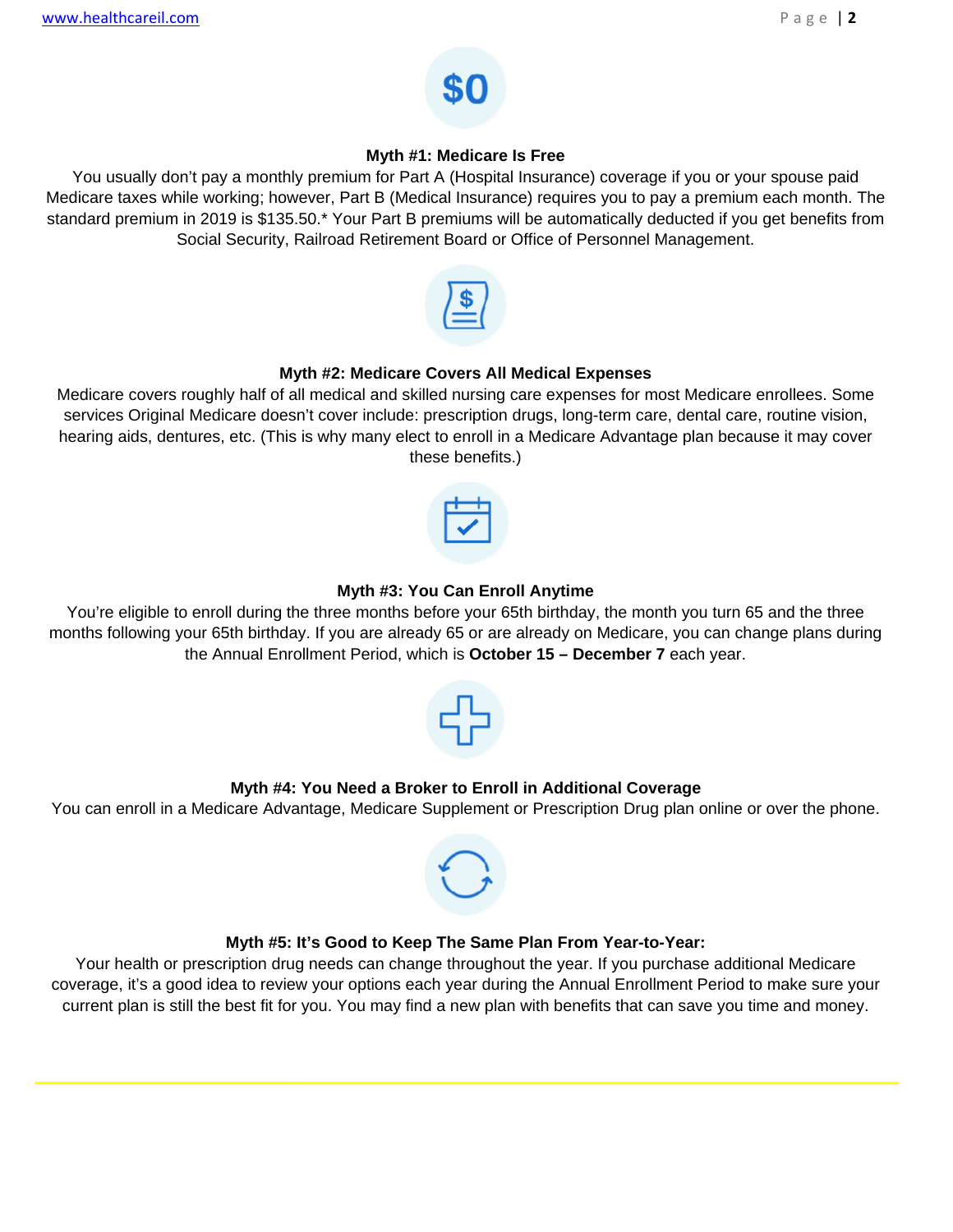

### **Myth #1: Medicare Is Free**

You usually don't pay a monthly premium for Part A (Hospital Insurance) coverage if you or your spouse paid Medicare taxes while working; however, Part B (Medical Insurance) requires you to pay a premium each month. The standard premium in 2019 is \$135.50.\* Your Part B premiums will be automatically deducted if you get benefits from Social Security, Railroad Retirement Board or Office of Personnel Management.



### **Myth #2: Medicare Covers All Medical Expenses**

Medicare covers roughly half of all medical and skilled nursing care expenses for most Medicare enrollees. Some services Original Medicare doesn't cover include: prescription drugs, long-term care, dental care, routine vision, hearing aids, dentures, etc. (This is why many elect to enroll in a Medicare Advantage plan because it may cover these benefits.)



### **Myth #3: You Can Enroll Anytime**

You're eligible to enroll during the three months before your 65th birthday, the month you turn 65 and the three months following your 65th birthday. If you are already 65 or are already on Medicare, you can change plans during the Annual Enrollment Period, which is **October 15 – December 7** each year.



### **Myth #4: You Need a Broker to Enroll in Additional Coverage**

You can enroll in a Medicare Advantage, Medicare Supplement or Prescription Drug plan online or over the phone.



### **Myth #5: It's Good to Keep The Same Plan From Year-to-Year:**

Your health or prescription drug needs can change throughout the year. If you purchase additional Medicare coverage, it's a good idea to review your options each year during the Annual Enrollment Period to make sure your current plan is still the best fit for you. You may find a new plan with benefits that can save you time and money.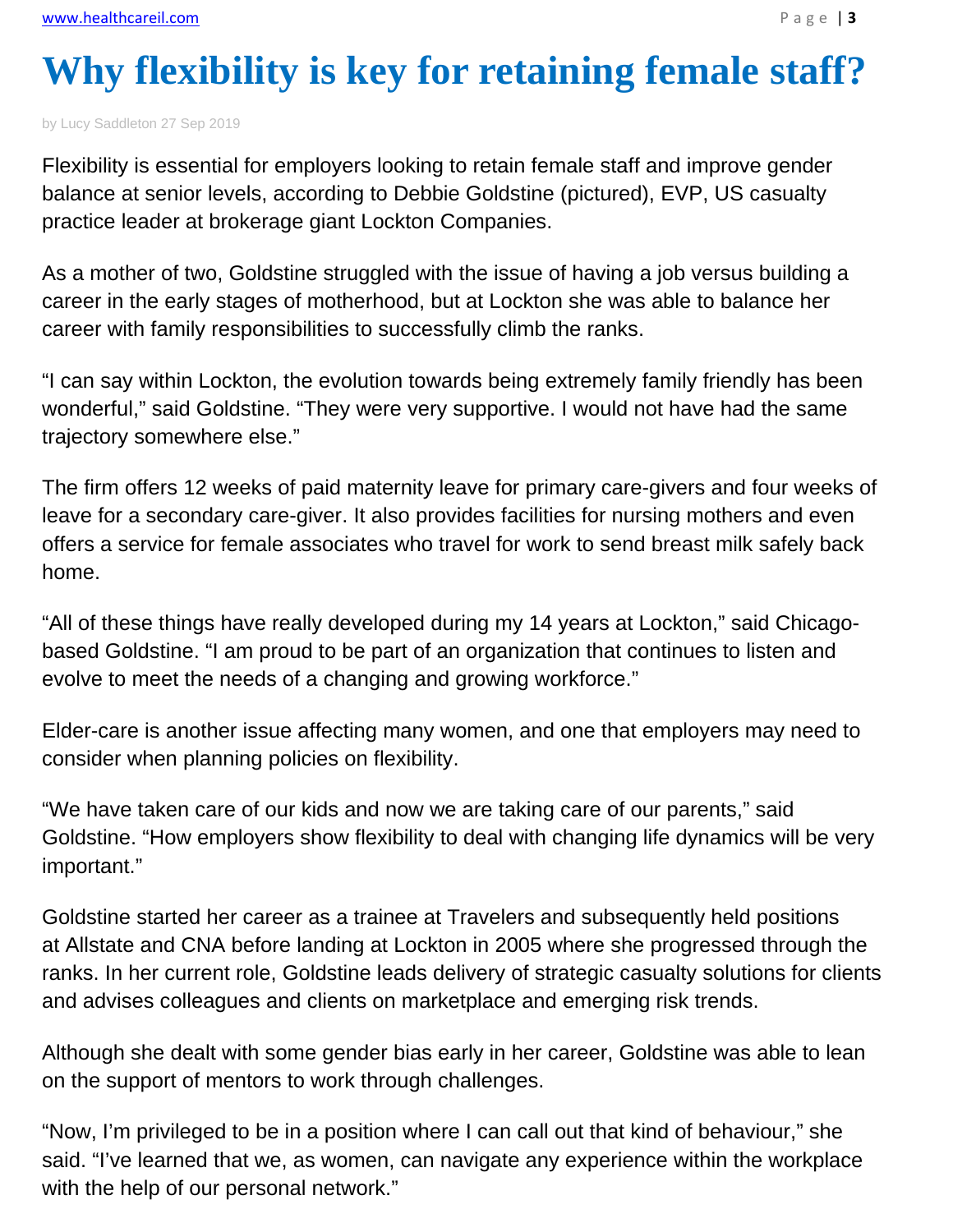# **Why flexibility is key for retaining female staff?**

by Lucy Saddleton 27 Sep 2019

Flexibility is essential for employers looking to retain female staff and improve gender balance at senior levels, according to Debbie Goldstine (pictured), EVP, US casualty practice leader at brokerage giant Lockton Companies.

As a mother of two, Goldstine struggled with the issue of having a job versus building a career in the early stages of motherhood, but at Lockton she was able to balance her career with family responsibilities to successfully climb the ranks.

"I can say within Lockton, the evolution towards being extremely family friendly has been wonderful," said Goldstine. "They were very supportive. I would not have had the same trajectory somewhere else."

The firm offers 12 weeks of paid maternity leave for primary care-givers and four weeks of leave for a secondary care-giver. It also provides facilities for nursing mothers and even offers a service for female associates who travel for work to send breast milk safely back home.

"All of these things have really developed during my 14 years at Lockton," said Chicagobased Goldstine. "I am proud to be part of an organization that continues to listen and evolve to meet the needs of a changing and growing workforce."

Elder-care is another issue affecting many women, and one that employers may need to consider when planning policies on flexibility.

"We have taken care of our kids and now we are taking care of our parents," said Goldstine. "How employers show flexibility to deal with changing life dynamics will be very important."

Goldstine started her career as a trainee at Travelers and subsequently held positions at Allstate and CNA before landing at Lockton in 2005 where she progressed through the ranks. In her current role, Goldstine leads delivery of strategic casualty solutions for clients and advises colleagues and clients on marketplace and emerging risk trends.

Although she dealt with some gender bias early in her career, Goldstine was able to lean on the support of mentors to work through challenges.

"Now, I'm privileged to be in a position where I can call out that kind of behaviour," she said. "I've learned that we, as women, can navigate any experience within the workplace with the help of our personal network."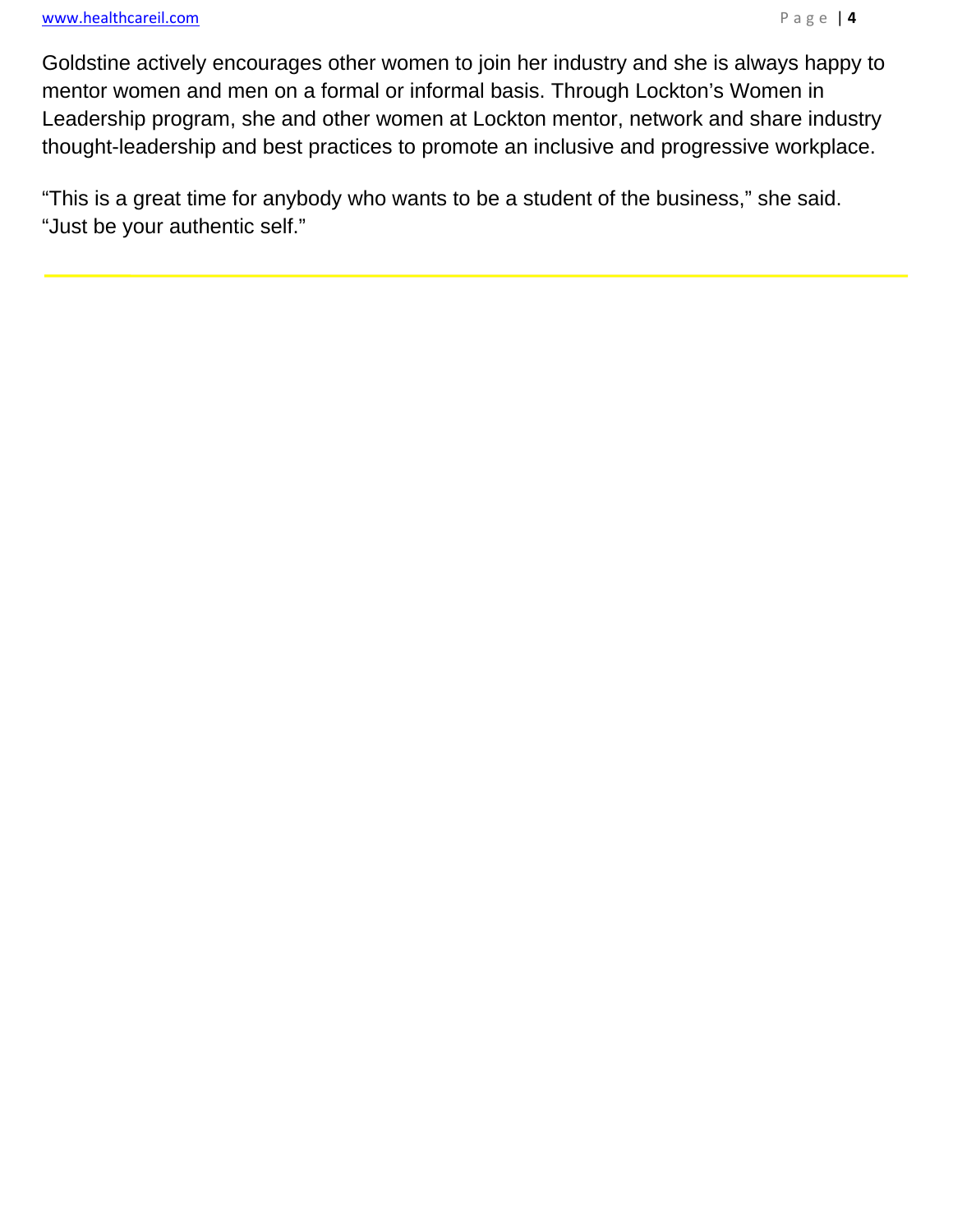i.

Goldstine actively encourages other women to join her industry and she is always happy to mentor women and men on a formal or informal basis. Through Lockton's Women in Leadership program, she and other women at Lockton mentor, network and share industry thought-leadership and best practices to promote an inclusive and progressive workplace.

"This is a great time for anybody who wants to be a student of the business," she said. "Just be your authentic self."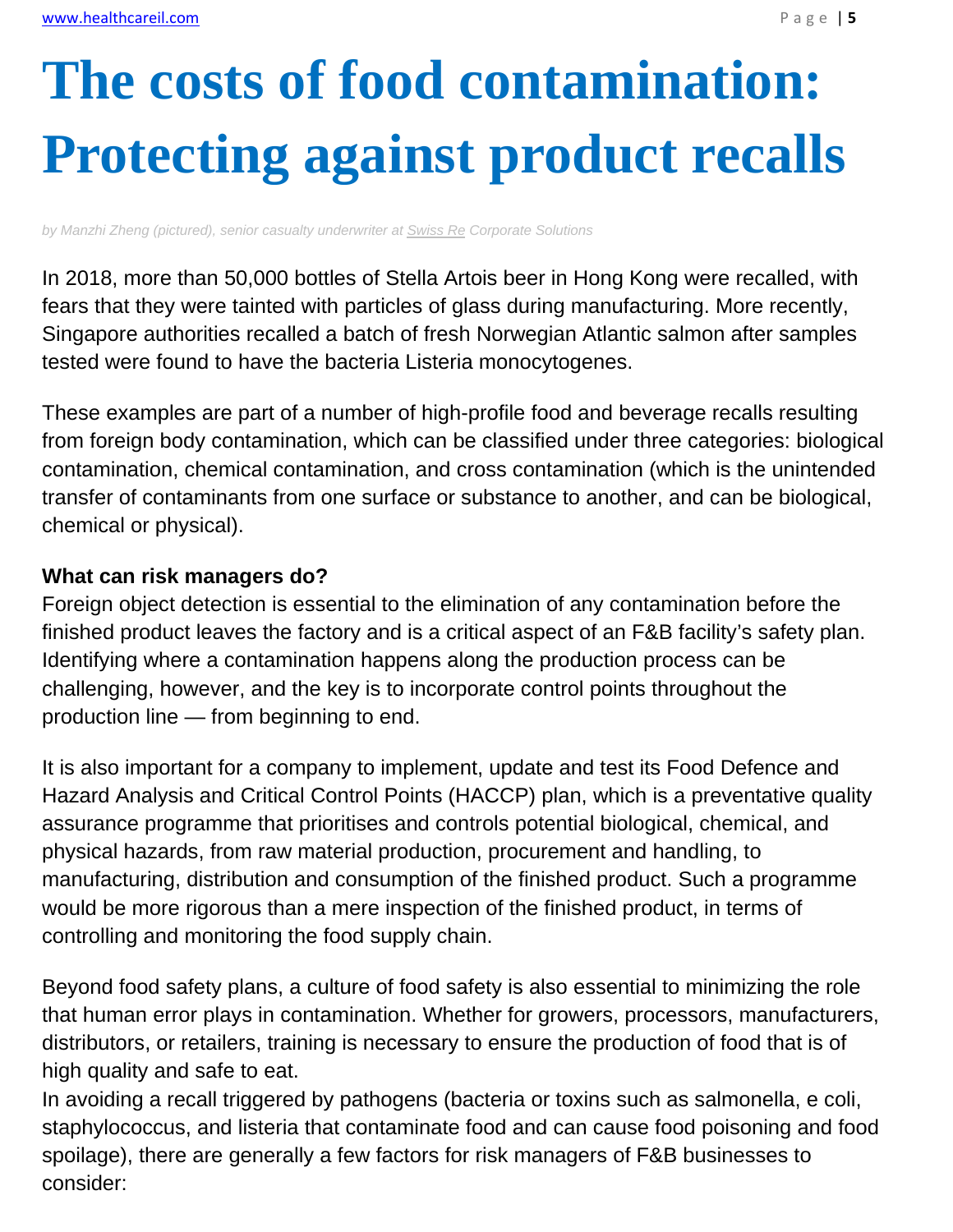# **The costs of food contamination: Protecting against product recalls**

*by Manzhi Zheng (pictured), senior casualty underwriter at Swiss Re Corporate Solutions*

In 2018, more than 50,000 bottles of Stella Artois beer in Hong Kong were recalled, with fears that they were tainted with particles of glass during manufacturing. More recently, Singapore authorities recalled a batch of fresh Norwegian Atlantic salmon after samples tested were found to have the bacteria Listeria monocytogenes.

These examples are part of a number of high-profile food and beverage recalls resulting from foreign body contamination, which can be classified under three categories: biological contamination, chemical contamination, and cross contamination (which is the unintended transfer of contaminants from one surface or substance to another, and can be biological, chemical or physical).

### **What can risk managers do?**

Foreign object detection is essential to the elimination of any contamination before the finished product leaves the factory and is a critical aspect of an F&B facility's safety plan. Identifying where a contamination happens along the production process can be challenging, however, and the key is to incorporate control points throughout the production line — from beginning to end.

It is also important for a company to implement, update and test its Food Defence and Hazard Analysis and Critical Control Points (HACCP) plan, which is a preventative quality assurance programme that prioritises and controls potential biological, chemical, and physical hazards, from raw material production, procurement and handling, to manufacturing, distribution and consumption of the finished product. Such a programme would be more rigorous than a mere inspection of the finished product, in terms of controlling and monitoring the food supply chain.

Beyond food safety plans, a culture of food safety is also essential to minimizing the role that human error plays in contamination. Whether for growers, processors, manufacturers, distributors, or retailers, training is necessary to ensure the production of food that is of high quality and safe to eat.

In avoiding a recall triggered by pathogens (bacteria or toxins such as salmonella, e coli, staphylococcus, and listeria that contaminate food and can cause food poisoning and food spoilage), there are generally a few factors for risk managers of F&B businesses to consider: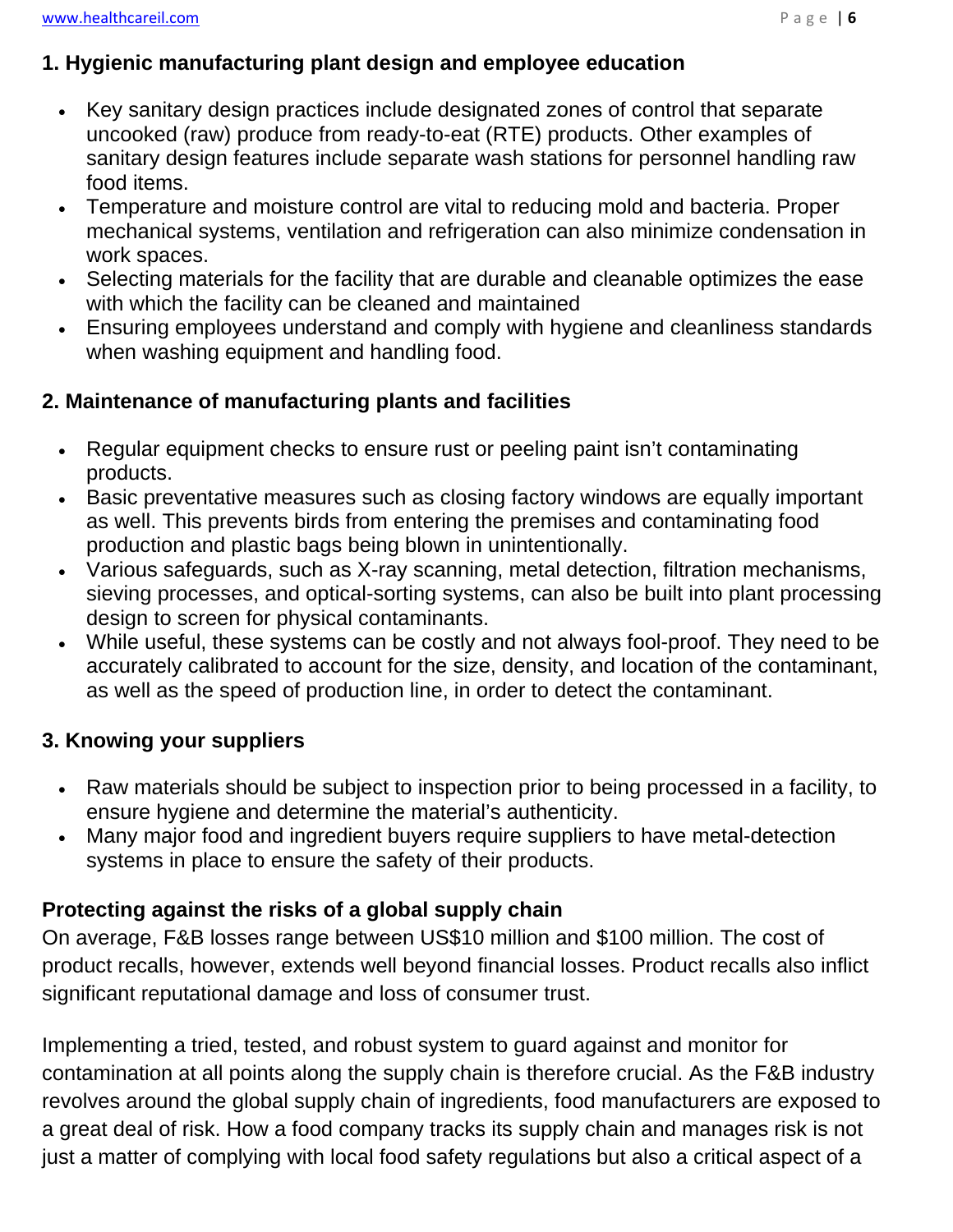### **1. Hygienic manufacturing plant design and employee education**

- Key sanitary design practices include designated zones of control that separate uncooked (raw) produce from ready-to-eat (RTE) products. Other examples of sanitary design features include separate wash stations for personnel handling raw food items.
- Temperature and moisture control are vital to reducing mold and bacteria. Proper mechanical systems, ventilation and refrigeration can also minimize condensation in work spaces.
- Selecting materials for the facility that are durable and cleanable optimizes the ease with which the facility can be cleaned and maintained
- Ensuring employees understand and comply with hygiene and cleanliness standards when washing equipment and handling food.

## **2. Maintenance of manufacturing plants and facilities**

- Regular equipment checks to ensure rust or peeling paint isn't contaminating products.
- Basic preventative measures such as closing factory windows are equally important as well. This prevents birds from entering the premises and contaminating food production and plastic bags being blown in unintentionally.
- Various safeguards, such as X-ray scanning, metal detection, filtration mechanisms, sieving processes, and optical-sorting systems, can also be built into plant processing design to screen for physical contaminants.
- While useful, these systems can be costly and not always fool-proof. They need to be accurately calibrated to account for the size, density, and location of the contaminant, as well as the speed of production line, in order to detect the contaminant.

## **3. Knowing your suppliers**

- Raw materials should be subject to inspection prior to being processed in a facility, to ensure hygiene and determine the material's authenticity.
- Many major food and ingredient buyers require suppliers to have metal-detection systems in place to ensure the safety of their products.

## **Protecting against the risks of a global supply chain**

On average, F&B losses range between US\$10 million and \$100 million. The cost of product recalls, however, extends well beyond financial losses. Product recalls also inflict significant reputational damage and loss of consumer trust.

Implementing a tried, tested, and robust system to guard against and monitor for contamination at all points along the supply chain is therefore crucial. As the F&B industry revolves around the global supply chain of ingredients, food manufacturers are exposed to a great deal of risk. How a food company tracks its supply chain and manages risk is not just a matter of complying with local food safety regulations but also a critical aspect of a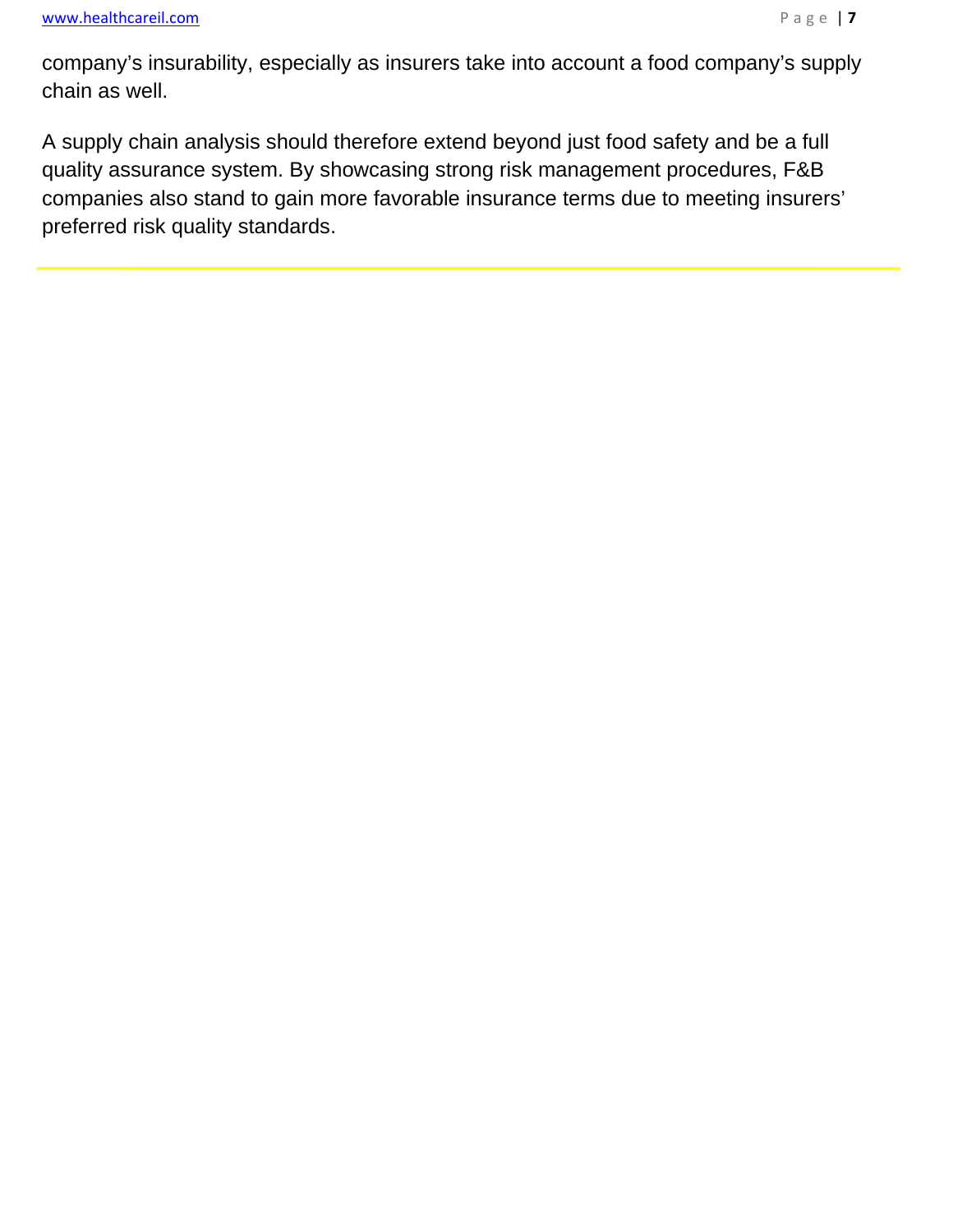$\overline{a}$ 

company's insurability, especially as insurers take into account a food company's supply chain as well.

A supply chain analysis should therefore extend beyond just food safety and be a full quality assurance system. By showcasing strong risk management procedures, F&B companies also stand to gain more favorable insurance terms due to meeting insurers' preferred risk quality standards.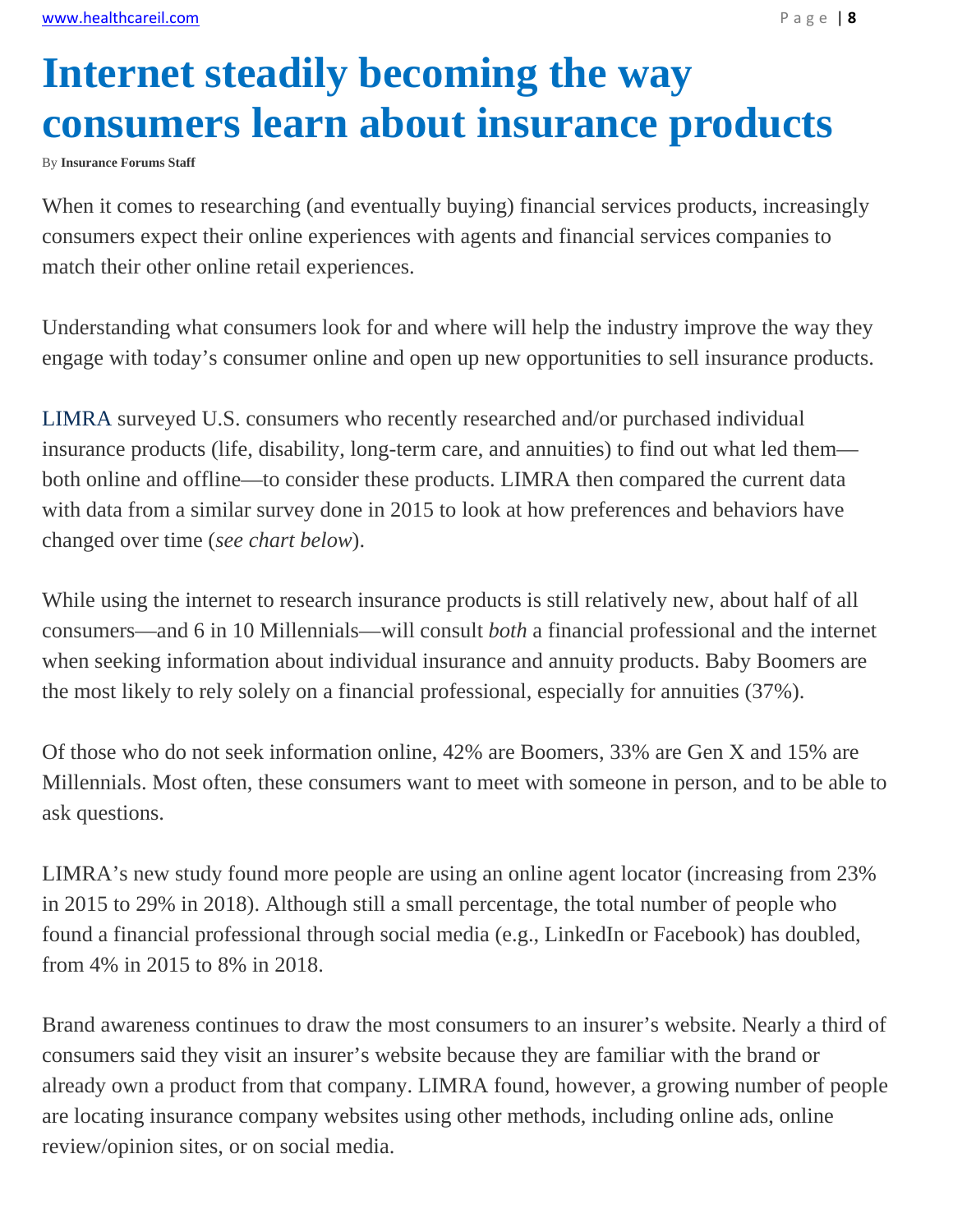# **Internet steadily becoming the way consumers learn about insurance products**

By **Insurance Forums Staff**

When it comes to researching (and eventually buying) financial services products, increasingly consumers expect their online experiences with agents and financial services companies to match their other online retail experiences.

Understanding what consumers look for and where will help the industry improve the way they engage with today's consumer online and open up new opportunities to sell insurance products.

LIMRA surveyed U.S. consumers who recently researched and/or purchased individual insurance products (life, disability, long-term care, and annuities) to find out what led them both online and offline—to consider these products. LIMRA then compared the current data with data from a similar survey done in 2015 to look at how preferences and behaviors have changed over time (*see chart below*).

While using the internet to research insurance products is still relatively new, about half of all consumers—and 6 in 10 Millennials—will consult *both* a financial professional and the internet when seeking information about individual insurance and annuity products. Baby Boomers are the most likely to rely solely on a financial professional, especially for annuities (37%).

Of those who do not seek information online, 42% are Boomers, 33% are Gen X and 15% are Millennials. Most often, these consumers want to meet with someone in person, and to be able to ask questions.

LIMRA's new study found more people are using an online agent locator (increasing from 23% in 2015 to 29% in 2018). Although still a small percentage, the total number of people who found a financial professional through social media (e.g., LinkedIn or Facebook) has doubled, from 4% in 2015 to 8% in 2018.

Brand awareness continues to draw the most consumers to an insurer's website. Nearly a third of consumers said they visit an insurer's website because they are familiar with the brand or already own a product from that company. LIMRA found, however, a growing number of people are locating insurance company websites using other methods, including online ads, online review/opinion sites, or on social media.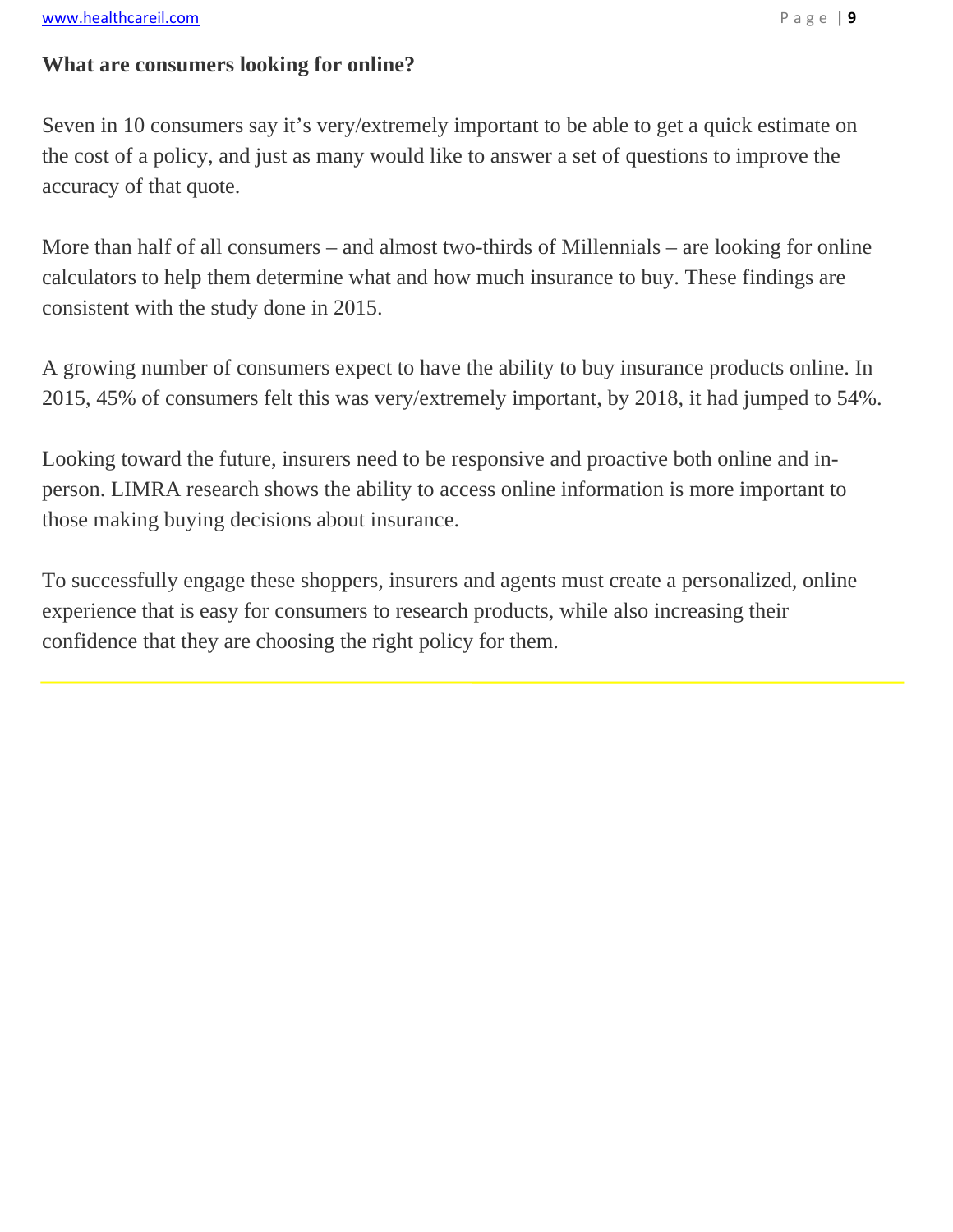## **What are consumers looking for online?**

Seven in 10 consumers say it's very/extremely important to be able to get a quick estimate on the cost of a policy, and just as many would like to answer a set of questions to improve the accuracy of that quote.

More than half of all consumers – and almost two-thirds of Millennials – are looking for online calculators to help them determine what and how much insurance to buy. These findings are consistent with the study done in 2015.

A growing number of consumers expect to have the ability to buy insurance products online. In 2015, 45% of consumers felt this was very/extremely important, by 2018, it had jumped to 54%.

Looking toward the future, insurers need to be responsive and proactive both online and inperson. LIMRA research shows the ability to access online information is more important to those making buying decisions about insurance.

To successfully engage these shoppers, insurers and agents must create a personalized, online experience that is easy for consumers to research products, while also increasing their confidence that they are choosing the right policy for them.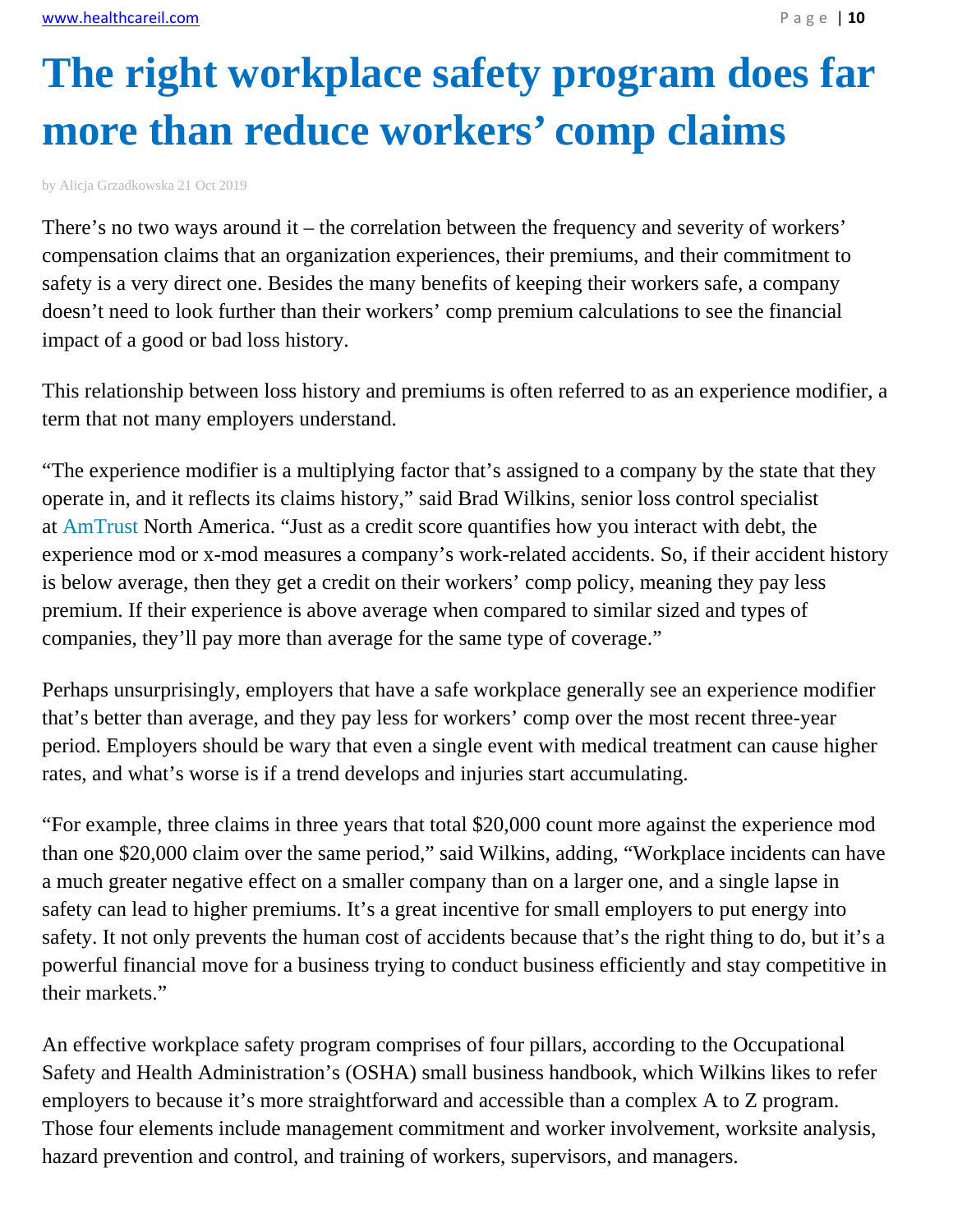# **The right workplace safety program does far more than reduce workers' comp claims**

by Alicja Grzadkowska 21 Oct 2019

There's no two ways around it – the correlation between the frequency and severity of workers' compensation claims that an organization experiences, their premiums, and their commitment to safety is a very direct one. Besides the many benefits of keeping their workers safe, a company doesn't need to look further than their workers' comp premium calculations to see the financial impact of a good or bad loss history.

This relationship between loss history and premiums is often referred to as an experience modifier, a term that not many employers understand.

"The experience modifier is a multiplying factor that's assigned to a company by the state that they operate in, and it reflects its claims history," said Brad Wilkins, senior loss control specialist at AmTrust North America. "Just as a credit score quantifies how you interact with debt, the experience mod or x-mod measures a company's work-related accidents. So, if their accident history is below average, then they get a credit on their workers' comp policy, meaning they pay less premium. If their experience is above average when compared to similar sized and types of companies, they'll pay more than average for the same type of coverage."

Perhaps unsurprisingly, employers that have a safe workplace generally see an experience modifier that's better than average, and they pay less for workers' comp over the most recent three-year period. Employers should be wary that even a single event with medical treatment can cause higher rates, and what's worse is if a trend develops and injuries start accumulating.

"For example, three claims in three years that total \$20,000 count more against the experience mod than one \$20,000 claim over the same period," said Wilkins, adding, "Workplace incidents can have a much greater negative effect on a smaller company than on a larger one, and a single lapse in safety can lead to higher premiums. It's a great incentive for small employers to put energy into safety. It not only prevents the human cost of accidents because that's the right thing to do, but it's a powerful financial move for a business trying to conduct business efficiently and stay competitive in their markets."

An effective workplace safety program comprises of four pillars, according to the Occupational Safety and Health Administration's (OSHA) small business handbook, which Wilkins likes to refer employers to because it's more straightforward and accessible than a complex A to Z program. Those four elements include management commitment and worker involvement, worksite analysis, hazard prevention and control, and training of workers, supervisors, and managers.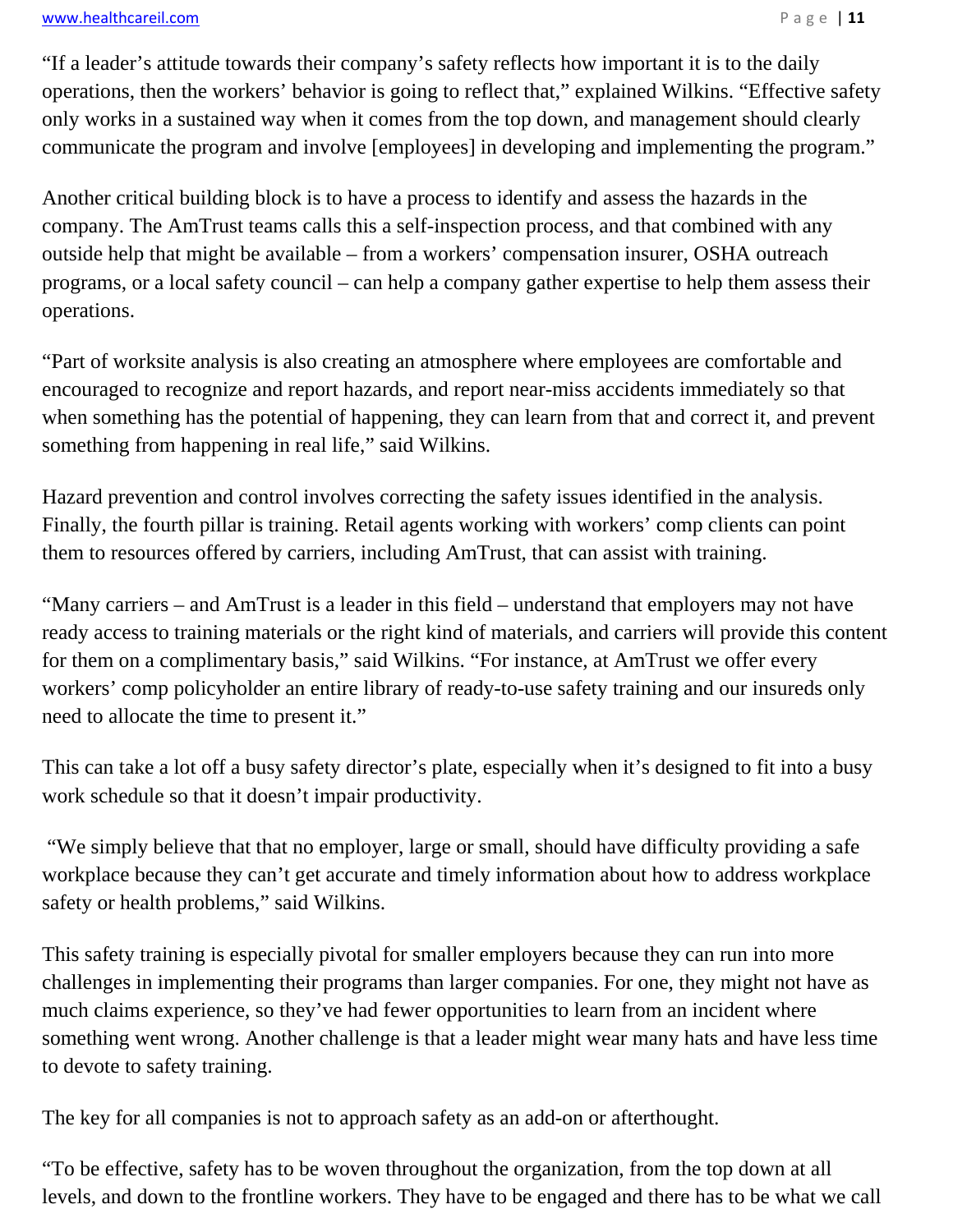#### www.healthcareil.com **blue and the set of the set of the set of the set of the set of the set of the set of the set of the set of the set of the set of the set of the set of the set of the set of the set of the set of the**

"If a leader's attitude towards their company's safety reflects how important it is to the daily operations, then the workers' behavior is going to reflect that," explained Wilkins. "Effective safety only works in a sustained way when it comes from the top down, and management should clearly communicate the program and involve [employees] in developing and implementing the program."

Another critical building block is to have a process to identify and assess the hazards in the company. The AmTrust teams calls this a self-inspection process, and that combined with any outside help that might be available – from a workers' compensation insurer, OSHA outreach programs, or a local safety council – can help a company gather expertise to help them assess their operations.

"Part of worksite analysis is also creating an atmosphere where employees are comfortable and encouraged to recognize and report hazards, and report near-miss accidents immediately so that when something has the potential of happening, they can learn from that and correct it, and prevent something from happening in real life," said Wilkins.

Hazard prevention and control involves correcting the safety issues identified in the analysis. Finally, the fourth pillar is training. Retail agents working with workers' comp clients can point them to resources offered by carriers, including AmTrust, that can assist with training.

"Many carriers – and AmTrust is a leader in this field – understand that employers may not have ready access to training materials or the right kind of materials, and carriers will provide this content for them on a complimentary basis," said Wilkins. "For instance, at AmTrust we offer every workers' comp policyholder an entire library of ready-to-use safety training and our insureds only need to allocate the time to present it."

This can take a lot off a busy safety director's plate, especially when it's designed to fit into a busy work schedule so that it doesn't impair productivity.

 "We simply believe that that no employer, large or small, should have difficulty providing a safe workplace because they can't get accurate and timely information about how to address workplace safety or health problems," said Wilkins.

This safety training is especially pivotal for smaller employers because they can run into more challenges in implementing their programs than larger companies. For one, they might not have as much claims experience, so they've had fewer opportunities to learn from an incident where something went wrong. Another challenge is that a leader might wear many hats and have less time to devote to safety training.

The key for all companies is not to approach safety as an add-on or afterthought.

"To be effective, safety has to be woven throughout the organization, from the top down at all levels, and down to the frontline workers. They have to be engaged and there has to be what we call